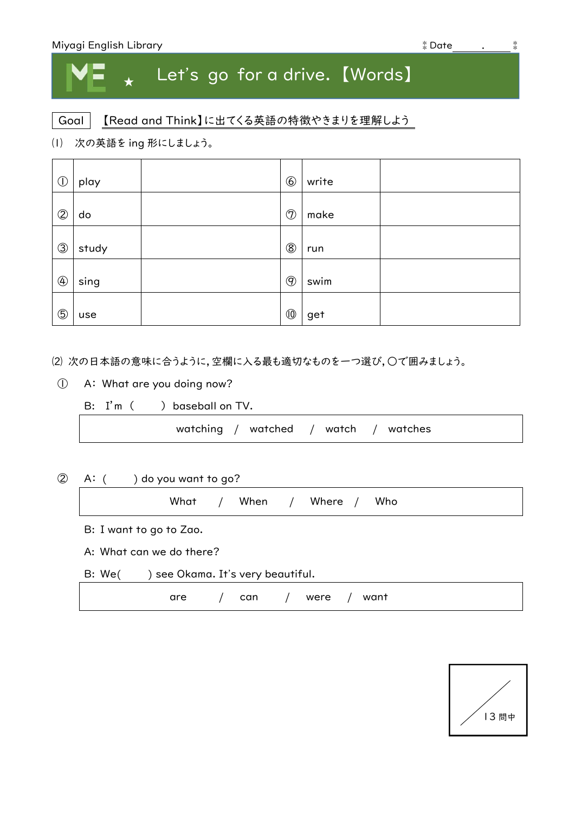| Miyagi English Library | ‡ Date |  |
|------------------------|--------|--|
|------------------------|--------|--|

## ★ Let's go for a drive. 【Words】

## Goal | 【Read and Think】に出てくる英語の特徴やきまりを理解しよう

⑴ 次の英語を ing 形にしましょう。

| $\circled{0}$  | play  | $\circledS$    | write |  |
|----------------|-------|----------------|-------|--|
| $\circledcirc$ | do    | $\circledcirc$ | make  |  |
| $\circledS$    | study | $\circledS$    | run   |  |
| $\bigcirc$     | sing  | $\circledcirc$ | swim  |  |
| $\circledS$    | use   | $^{\rm (0)}$   | get   |  |

⑵ 次の日本語の意味に合うように,空欄に入る最も適切なものを一つ選び,○で囲みましょう。

① A: What are you doing now?

B: I'm ( ) baseball on TV.

watching / watched / watch / watches

② A: ( ) do you want to go?

What / When / Where / Who

B: I want to go to Zao.

A: What can we do there?

B: We( ) see Okama. It's very beautiful.

|  | are / can / were / want |  |  |
|--|-------------------------|--|--|
|--|-------------------------|--|--|